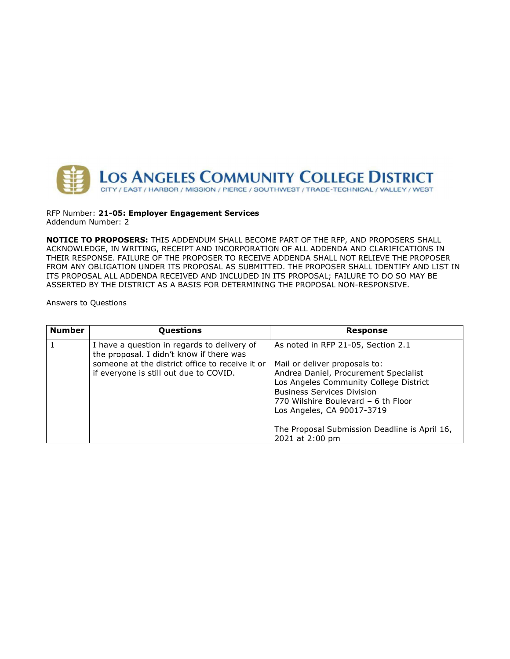

RFP Number: 21-05: Employer Engagement Services Addendum Number: 2

NOTICE TO PROPOSERS: THIS ADDENDUM SHALL BECOME PART OF THE RFP, AND PROPOSERS SHALL ACKNOWLEDGE, IN WRITING, RECEIPT AND INCORPORATION OF ALL ADDENDA AND CLARIFICATIONS IN THEIR RESPONSE. FAILURE OF THE PROPOSER TO RECEIVE ADDENDA SHALL NOT RELIEVE THE PROPOSER FROM ANY OBLIGATION UNDER ITS PROPOSAL AS SUBMITTED. THE PROPOSER SHALL IDENTIFY AND LIST IN ITS PROPOSAL ALL ADDENDA RECEIVED AND INCLUDED IN ITS PROPOSAL; FAILURE TO DO SO MAY BE ASSERTED BY THE DISTRICT AS A BASIS FOR DETERMINING THE PROPOSAL NON-RESPONSIVE.

Answers to Questions

| <b>Number</b> | Questions                                                                                 | <b>Response</b>                                                                                                                                                                                                            |
|---------------|-------------------------------------------------------------------------------------------|----------------------------------------------------------------------------------------------------------------------------------------------------------------------------------------------------------------------------|
|               | I have a question in regards to delivery of<br>the proposal. I didn't know if there was   | As noted in RFP 21-05, Section 2.1                                                                                                                                                                                         |
|               | someone at the district office to receive it or<br>if everyone is still out due to COVID. | Mail or deliver proposals to:<br>Andrea Daniel, Procurement Specialist<br>Los Angeles Community College District<br><b>Business Services Division</b><br>770 Wilshire Boulevard - 6 th Floor<br>Los Angeles, CA 90017-3719 |
|               |                                                                                           | The Proposal Submission Deadline is April 16,<br>2021 at 2:00 pm                                                                                                                                                           |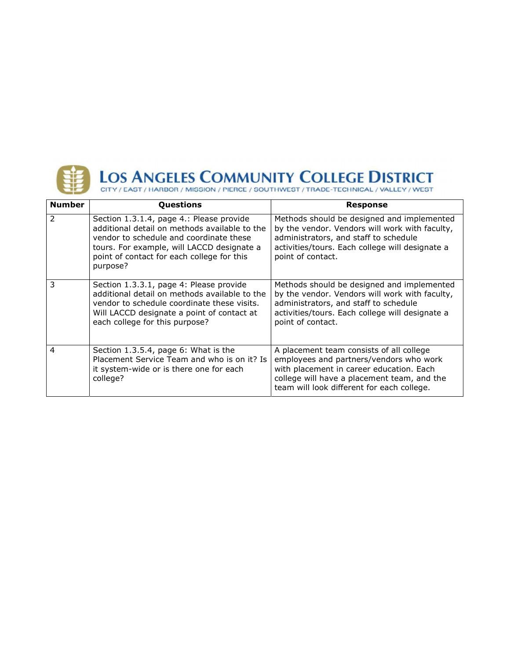

| <b>Number</b>  | Questions                                                                                                                                                                                                                                    | <b>Response</b>                                                                                                                                                                                                              |
|----------------|----------------------------------------------------------------------------------------------------------------------------------------------------------------------------------------------------------------------------------------------|------------------------------------------------------------------------------------------------------------------------------------------------------------------------------------------------------------------------------|
|                | Section 1.3.1.4, page 4.: Please provide<br>additional detail on methods available to the<br>vendor to schedule and coordinate these<br>tours. For example, will LACCD designate a<br>point of contact for each college for this<br>purpose? | Methods should be designed and implemented<br>by the vendor. Vendors will work with faculty,<br>administrators, and staff to schedule<br>activities/tours. Each college will designate a<br>point of contact.                |
| 3              | Section 1.3.3.1, page 4: Please provide<br>additional detail on methods available to the<br>vendor to schedule coordinate these visits.<br>Will LACCD designate a point of contact at<br>each college for this purpose?                      | Methods should be designed and implemented<br>by the vendor. Vendors will work with faculty,<br>administrators, and staff to schedule<br>activities/tours. Each college will designate a<br>point of contact.                |
| $\overline{4}$ | Section 1.3.5.4, page 6: What is the<br>Placement Service Team and who is on it? Is<br>it system-wide or is there one for each<br>college?                                                                                                   | A placement team consists of all college<br>employees and partners/vendors who work<br>with placement in career education. Each<br>college will have a placement team, and the<br>team will look different for each college. |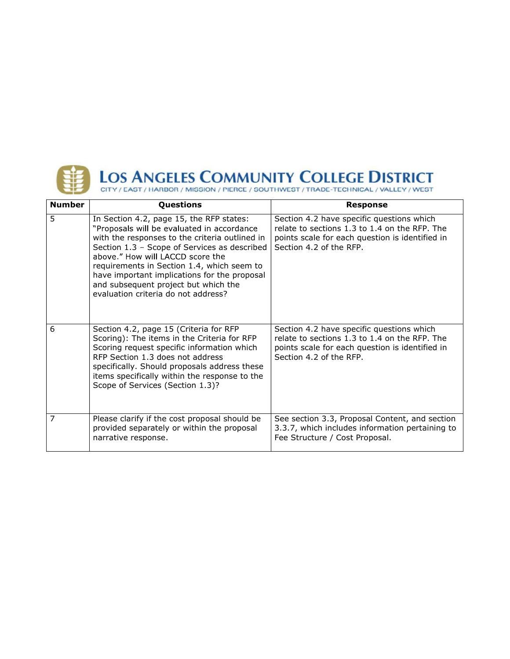

| <b>Number</b> | Questions                                                                                                                                                                                                                                                                                                                                                                                                 | <b>Response</b>                                                                                                                                                          |
|---------------|-----------------------------------------------------------------------------------------------------------------------------------------------------------------------------------------------------------------------------------------------------------------------------------------------------------------------------------------------------------------------------------------------------------|--------------------------------------------------------------------------------------------------------------------------------------------------------------------------|
| 5             | In Section 4.2, page 15, the RFP states:<br>"Proposals will be evaluated in accordance<br>with the responses to the criteria outlined in<br>Section 1.3 - Scope of Services as described<br>above." How will LACCD score the<br>requirements in Section 1.4, which seem to<br>have important implications for the proposal<br>and subsequent project but which the<br>evaluation criteria do not address? | Section 4.2 have specific questions which<br>relate to sections 1.3 to 1.4 on the RFP. The<br>points scale for each question is identified in<br>Section 4.2 of the RFP. |
| 6             | Section 4.2, page 15 (Criteria for RFP<br>Scoring): The items in the Criteria for RFP<br>Scoring request specific information which<br>RFP Section 1.3 does not address<br>specifically. Should proposals address these<br>items specifically within the response to the<br>Scope of Services (Section 1.3)?                                                                                              | Section 4.2 have specific questions which<br>relate to sections 1.3 to 1.4 on the RFP. The<br>points scale for each question is identified in<br>Section 4.2 of the RFP. |
| 7             | Please clarify if the cost proposal should be<br>provided separately or within the proposal<br>narrative response.                                                                                                                                                                                                                                                                                        | See section 3.3, Proposal Content, and section<br>3.3.7, which includes information pertaining to<br>Fee Structure / Cost Proposal.                                      |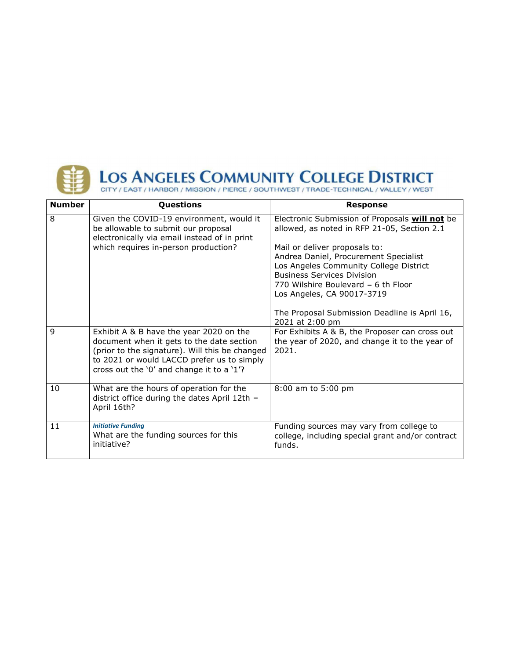

| <b>Number</b> | Questions                                                                                                                                                                                                                         | <b>Response</b>                                                                                                                                                                                                            |
|---------------|-----------------------------------------------------------------------------------------------------------------------------------------------------------------------------------------------------------------------------------|----------------------------------------------------------------------------------------------------------------------------------------------------------------------------------------------------------------------------|
| 8             | Given the COVID-19 environment, would it<br>be allowable to submit our proposal<br>electronically via email instead of in print                                                                                                   | Electronic Submission of Proposals will not be<br>allowed, as noted in RFP 21-05, Section 2.1                                                                                                                              |
|               | which requires in-person production?                                                                                                                                                                                              | Mail or deliver proposals to:<br>Andrea Daniel, Procurement Specialist<br>Los Angeles Community College District<br><b>Business Services Division</b><br>770 Wilshire Boulevard - 6 th Floor<br>Los Angeles, CA 90017-3719 |
|               |                                                                                                                                                                                                                                   | The Proposal Submission Deadline is April 16,<br>2021 at 2:00 pm                                                                                                                                                           |
| $\mathbf{q}$  | Exhibit A & B have the year 2020 on the<br>document when it gets to the date section<br>(prior to the signature). Will this be changed<br>to 2021 or would LACCD prefer us to simply<br>cross out the '0' and change it to a '1'? | For Exhibits A & B, the Proposer can cross out<br>the year of 2020, and change it to the year of<br>2021.                                                                                                                  |
| 10            | What are the hours of operation for the<br>district office during the dates April 12th -<br>April 16th?                                                                                                                           | 8:00 am to 5:00 pm                                                                                                                                                                                                         |
| 11            | <b>Initiative Funding</b><br>What are the funding sources for this<br>initiative?                                                                                                                                                 | Funding sources may vary from college to<br>college, including special grant and/or contract<br>funds.                                                                                                                     |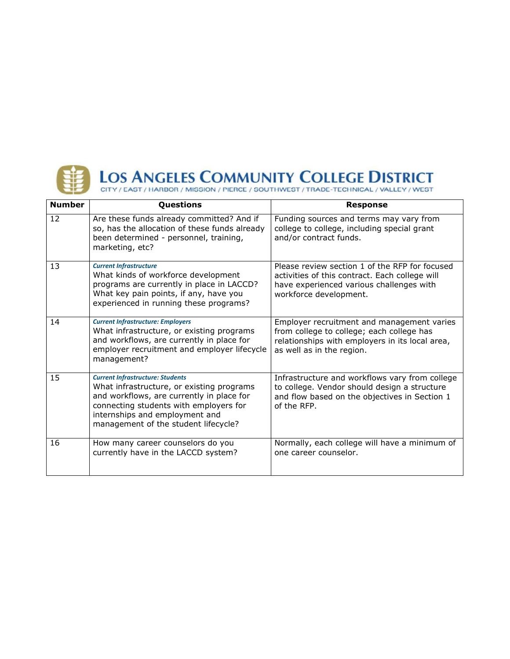

| <b>Number</b> | Questions                                                                                                                                                                                                                                             | <b>Response</b>                                                                                                                                                         |
|---------------|-------------------------------------------------------------------------------------------------------------------------------------------------------------------------------------------------------------------------------------------------------|-------------------------------------------------------------------------------------------------------------------------------------------------------------------------|
| 12            | Are these funds already committed? And if<br>so, has the allocation of these funds already<br>been determined - personnel, training,<br>marketing, etc?                                                                                               | Funding sources and terms may vary from<br>college to college, including special grant<br>and/or contract funds.                                                        |
| 13            | <b>Current Infrastructure</b><br>What kinds of workforce development<br>programs are currently in place in LACCD?<br>What key pain points, if any, have you<br>experienced in running these programs?                                                 | Please review section 1 of the RFP for focused<br>activities of this contract. Each college will<br>have experienced various challenges with<br>workforce development.  |
| 14            | <b>Current Infrastructure: Employers</b><br>What infrastructure, or existing programs<br>and workflows, are currently in place for<br>employer recruitment and employer lifecycle<br>management?                                                      | Employer recruitment and management varies<br>from college to college; each college has<br>relationships with employers in its local area,<br>as well as in the region. |
| 15            | <b>Current Infrastructure: Students</b><br>What infrastructure, or existing programs<br>and workflows, are currently in place for<br>connecting students with employers for<br>internships and employment and<br>management of the student lifecycle? | Infrastructure and workflows vary from college<br>to college. Vendor should design a structure<br>and flow based on the objectives in Section 1<br>of the RFP.          |
| 16            | How many career counselors do you<br>currently have in the LACCD system?                                                                                                                                                                              | Normally, each college will have a minimum of<br>one career counselor.                                                                                                  |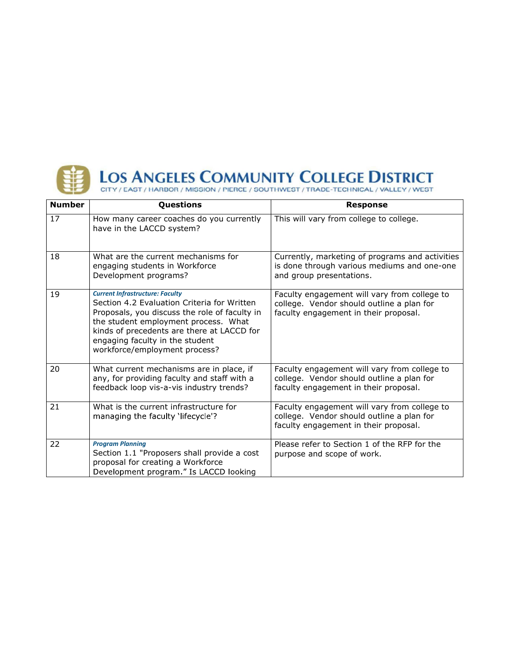

| <b>Number</b> | Questions                                                                                                                                                                                                                                                                                        | <b>Response</b>                                                                                                                    |
|---------------|--------------------------------------------------------------------------------------------------------------------------------------------------------------------------------------------------------------------------------------------------------------------------------------------------|------------------------------------------------------------------------------------------------------------------------------------|
| 17            | How many career coaches do you currently<br>have in the LACCD system?                                                                                                                                                                                                                            | This will vary from college to college.                                                                                            |
| 18            | What are the current mechanisms for<br>engaging students in Workforce<br>Development programs?                                                                                                                                                                                                   | Currently, marketing of programs and activities<br>is done through various mediums and one-one<br>and group presentations.         |
| 19            | <b>Current Infrastructure: Faculty</b><br>Section 4.2 Evaluation Criteria for Written<br>Proposals, you discuss the role of faculty in<br>the student employment process. What<br>kinds of precedents are there at LACCD for<br>engaging faculty in the student<br>workforce/employment process? | Faculty engagement will vary from college to<br>college. Vendor should outline a plan for<br>faculty engagement in their proposal. |
| 20            | What current mechanisms are in place, if<br>any, for providing faculty and staff with a<br>feedback loop vis-a-vis industry trends?                                                                                                                                                              | Faculty engagement will vary from college to<br>college. Vendor should outline a plan for<br>faculty engagement in their proposal. |
| 21            | What is the current infrastructure for<br>managing the faculty 'lifecycle'?                                                                                                                                                                                                                      | Faculty engagement will vary from college to<br>college. Vendor should outline a plan for<br>faculty engagement in their proposal. |
| 22            | <b>Program Planning</b><br>Section 1.1 "Proposers shall provide a cost<br>proposal for creating a Workforce<br>Development program." Is LACCD looking                                                                                                                                            | Please refer to Section 1 of the RFP for the<br>purpose and scope of work.                                                         |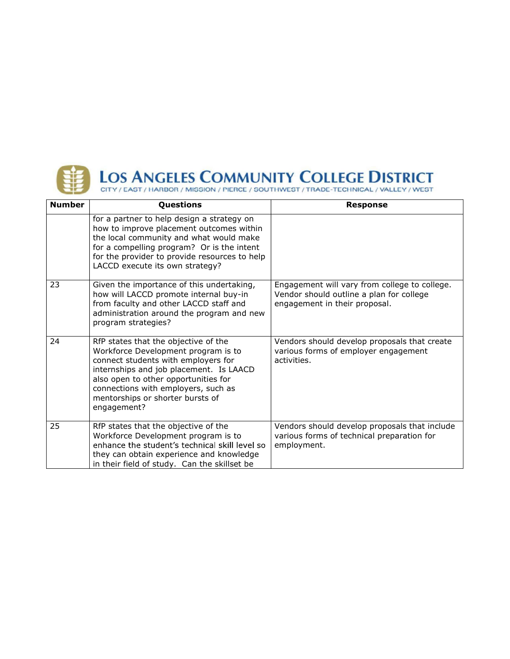

| <b>Number</b> | Questions                                                                                                                                                                                                                                                                                       | <b>Response</b>                                                                                                            |
|---------------|-------------------------------------------------------------------------------------------------------------------------------------------------------------------------------------------------------------------------------------------------------------------------------------------------|----------------------------------------------------------------------------------------------------------------------------|
|               | for a partner to help design a strategy on<br>how to improve placement outcomes within<br>the local community and what would make<br>for a compelling program? Or is the intent<br>for the provider to provide resources to help<br>LACCD execute its own strategy?                             |                                                                                                                            |
| 23            | Given the importance of this undertaking,<br>how will LACCD promote internal buy-in<br>from faculty and other LACCD staff and<br>administration around the program and new<br>program strategies?                                                                                               | Engagement will vary from college to college.<br>Vendor should outline a plan for college<br>engagement in their proposal. |
| 24            | RfP states that the objective of the<br>Workforce Development program is to<br>connect students with employers for<br>internships and job placement. Is LAACD<br>also open to other opportunities for<br>connections with employers, such as<br>mentorships or shorter bursts of<br>engagement? | Vendors should develop proposals that create<br>various forms of employer engagement<br>activities.                        |
| 25            | RfP states that the objective of the<br>Workforce Development program is to<br>enhance the student's technical skill level so<br>they can obtain experience and knowledge<br>in their field of study. Can the skillset be                                                                       | Vendors should develop proposals that include<br>various forms of technical preparation for<br>employment.                 |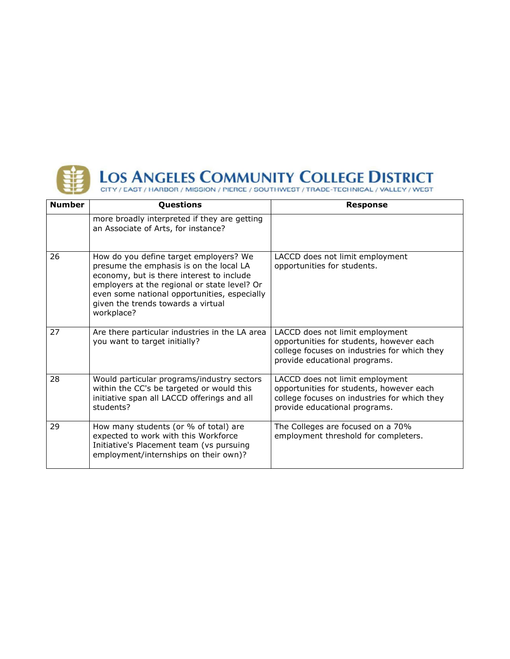

| <b>Number</b> | Questions                                                                                                                                                                                                                                                                          | <b>Response</b>                                                                                                                                              |
|---------------|------------------------------------------------------------------------------------------------------------------------------------------------------------------------------------------------------------------------------------------------------------------------------------|--------------------------------------------------------------------------------------------------------------------------------------------------------------|
|               | more broadly interpreted if they are getting<br>an Associate of Arts, for instance?                                                                                                                                                                                                |                                                                                                                                                              |
| 26            | How do you define target employers? We<br>presume the emphasis is on the local LA<br>economy, but is there interest to include<br>employers at the regional or state level? Or<br>even some national opportunities, especially<br>given the trends towards a virtual<br>workplace? | LACCD does not limit employment<br>opportunities for students.                                                                                               |
| 27            | Are there particular industries in the LA area<br>you want to target initially?                                                                                                                                                                                                    | LACCD does not limit employment<br>opportunities for students, however each<br>college focuses on industries for which they<br>provide educational programs. |
| 28            | Would particular programs/industry sectors<br>within the CC's be targeted or would this<br>initiative span all LACCD offerings and all<br>students?                                                                                                                                | LACCD does not limit employment<br>opportunities for students, however each<br>college focuses on industries for which they<br>provide educational programs. |
| 29            | How many students (or % of total) are<br>expected to work with this Workforce<br>Initiative's Placement team (vs pursuing<br>employment/internships on their own)?                                                                                                                 | The Colleges are focused on a 70%<br>employment threshold for completers.                                                                                    |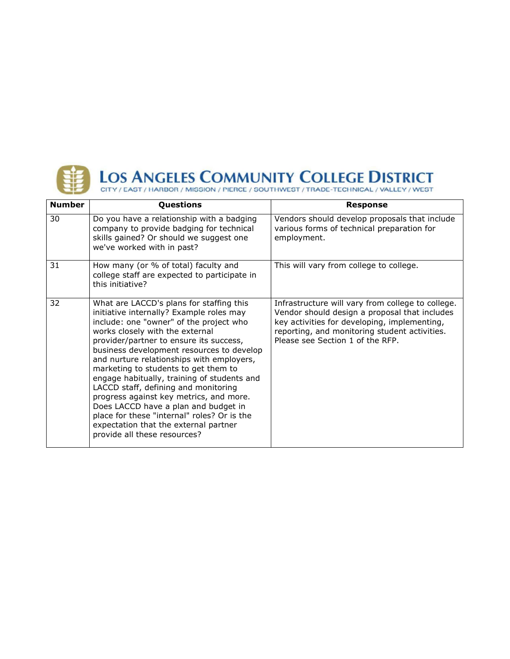

| <b>Number</b> | Questions                                                                                                                                                                                                                                                                                                                                                                                                                                                                                                                                                                                                                                         | <b>Response</b>                                                                                                                                                                                                                         |
|---------------|---------------------------------------------------------------------------------------------------------------------------------------------------------------------------------------------------------------------------------------------------------------------------------------------------------------------------------------------------------------------------------------------------------------------------------------------------------------------------------------------------------------------------------------------------------------------------------------------------------------------------------------------------|-----------------------------------------------------------------------------------------------------------------------------------------------------------------------------------------------------------------------------------------|
| 30            | Do you have a relationship with a badging<br>company to provide badging for technical<br>skills gained? Or should we suggest one<br>we've worked with in past?                                                                                                                                                                                                                                                                                                                                                                                                                                                                                    | Vendors should develop proposals that include<br>various forms of technical preparation for<br>employment.                                                                                                                              |
| 31            | How many (or % of total) faculty and<br>college staff are expected to participate in<br>this initiative?                                                                                                                                                                                                                                                                                                                                                                                                                                                                                                                                          | This will vary from college to college.                                                                                                                                                                                                 |
| 32            | What are LACCD's plans for staffing this<br>initiative internally? Example roles may<br>include: one "owner" of the project who<br>works closely with the external<br>provider/partner to ensure its success,<br>business development resources to develop<br>and nurture relationships with employers,<br>marketing to students to get them to<br>engage habitually, training of students and<br>LACCD staff, defining and monitoring<br>progress against key metrics, and more.<br>Does LACCD have a plan and budget in<br>place for these "internal" roles? Or is the<br>expectation that the external partner<br>provide all these resources? | Infrastructure will vary from college to college.<br>Vendor should design a proposal that includes<br>key activities for developing, implementing,<br>reporting, and monitoring student activities.<br>Please see Section 1 of the RFP. |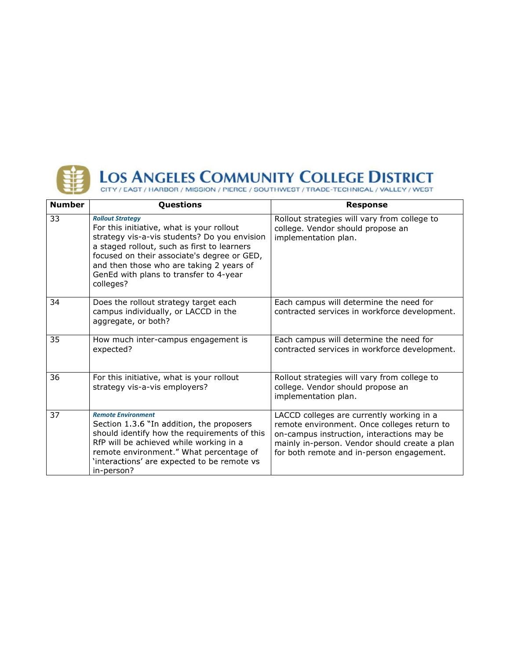

| <b>Number</b> | Questions                                                                                                                                                                                                                                                                                                             | <b>Response</b>                                                                                                                                                                                                                      |
|---------------|-----------------------------------------------------------------------------------------------------------------------------------------------------------------------------------------------------------------------------------------------------------------------------------------------------------------------|--------------------------------------------------------------------------------------------------------------------------------------------------------------------------------------------------------------------------------------|
| 33            | <b>Rollout Strategy</b><br>For this initiative, what is your rollout<br>strategy vis-a-vis students? Do you envision<br>a staged rollout, such as first to learners<br>focused on their associate's degree or GED,<br>and then those who are taking 2 years of<br>GenEd with plans to transfer to 4-year<br>colleges? | Rollout strategies will vary from college to<br>college. Vendor should propose an<br>implementation plan.                                                                                                                            |
| 34            | Does the rollout strategy target each<br>campus individually, or LACCD in the<br>aggregate, or both?                                                                                                                                                                                                                  | Each campus will determine the need for<br>contracted services in workforce development.                                                                                                                                             |
| 35            | How much inter-campus engagement is<br>expected?                                                                                                                                                                                                                                                                      | Each campus will determine the need for<br>contracted services in workforce development.                                                                                                                                             |
| 36            | For this initiative, what is your rollout<br>strategy vis-a-vis employers?                                                                                                                                                                                                                                            | Rollout strategies will vary from college to<br>college. Vendor should propose an<br>implementation plan.                                                                                                                            |
| 37            | <b>Remote Environment</b><br>Section 1.3.6 "In addition, the proposers<br>should identify how the requirements of this<br>RfP will be achieved while working in a<br>remote environment." What percentage of<br>'interactions' are expected to be remote vs<br>in-person?                                             | LACCD colleges are currently working in a<br>remote environment. Once colleges return to<br>on-campus instruction, interactions may be<br>mainly in-person. Vendor should create a plan<br>for both remote and in-person engagement. |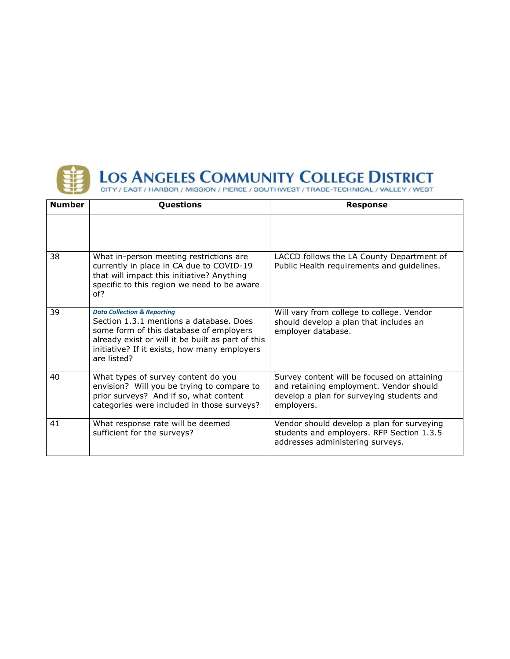

| <b>Number</b> | Questions                                                                                                                                                                                                                                        | <b>Response</b>                                                                                                                                   |
|---------------|--------------------------------------------------------------------------------------------------------------------------------------------------------------------------------------------------------------------------------------------------|---------------------------------------------------------------------------------------------------------------------------------------------------|
|               |                                                                                                                                                                                                                                                  |                                                                                                                                                   |
| 38            | What in-person meeting restrictions are<br>currently in place in CA due to COVID-19<br>that will impact this initiative? Anything<br>specific to this region we need to be aware<br>of?                                                          | LACCD follows the LA County Department of<br>Public Health requirements and guidelines.                                                           |
| 39            | <b>Data Collection &amp; Reporting</b><br>Section 1.3.1 mentions a database. Does<br>some form of this database of employers<br>already exist or will it be built as part of this<br>initiative? If it exists, how many employers<br>are listed? | Will vary from college to college. Vendor<br>should develop a plan that includes an<br>employer database.                                         |
| 40            | What types of survey content do you<br>envision? Will you be trying to compare to<br>prior surveys? And if so, what content<br>categories were included in those surveys?                                                                        | Survey content will be focused on attaining<br>and retaining employment. Vendor should<br>develop a plan for surveying students and<br>employers. |
| 41            | What response rate will be deemed<br>sufficient for the surveys?                                                                                                                                                                                 | Vendor should develop a plan for surveying<br>students and employers. RFP Section 1.3.5<br>addresses administering surveys.                       |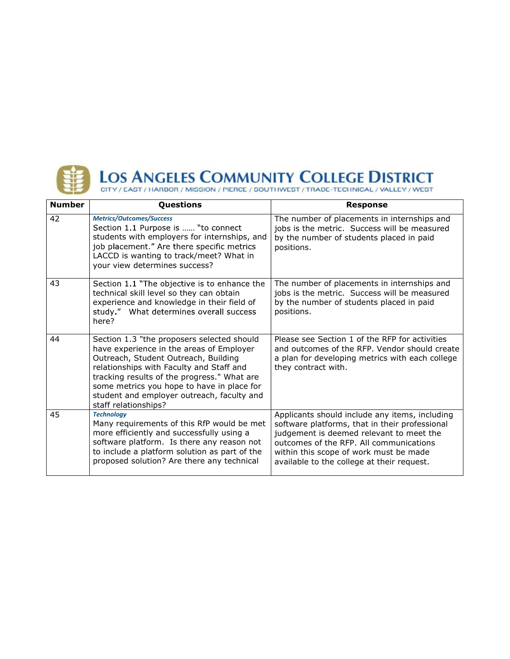

| <b>Number</b> | Questions                                                                                                                                                                                                                                                                                                                                     | <b>Response</b>                                                                                                                                                                                                                                                                 |
|---------------|-----------------------------------------------------------------------------------------------------------------------------------------------------------------------------------------------------------------------------------------------------------------------------------------------------------------------------------------------|---------------------------------------------------------------------------------------------------------------------------------------------------------------------------------------------------------------------------------------------------------------------------------|
| 42            | <b>Metrics/Outcomes/Success</b><br>Section 1.1 Purpose is  "to connect<br>students with employers for internships, and<br>job placement." Are there specific metrics<br>LACCD is wanting to track/meet? What in<br>your view determines success?                                                                                              | The number of placements in internships and<br>jobs is the metric. Success will be measured<br>by the number of students placed in paid<br>positions.                                                                                                                           |
| 43            | Section 1.1 "The objective is to enhance the<br>technical skill level so they can obtain<br>experience and knowledge in their field of<br>study." What determines overall success<br>here?                                                                                                                                                    | The number of placements in internships and<br>jobs is the metric. Success will be measured<br>by the number of students placed in paid<br>positions.                                                                                                                           |
| 44            | Section 1.3 "the proposers selected should<br>have experience in the areas of Employer<br>Outreach, Student Outreach, Building<br>relationships with Faculty and Staff and<br>tracking results of the progress." What are<br>some metrics you hope to have in place for<br>student and employer outreach, faculty and<br>staff relationships? | Please see Section 1 of the RFP for activities<br>and outcomes of the RFP. Vendor should create<br>a plan for developing metrics with each college<br>they contract with.                                                                                                       |
| 45            | <b>Technology</b><br>Many requirements of this RfP would be met<br>more efficiently and successfully using a<br>software platform. Is there any reason not<br>to include a platform solution as part of the<br>proposed solution? Are there any technical                                                                                     | Applicants should include any items, including<br>software platforms, that in their professional<br>judgement is deemed relevant to meet the<br>outcomes of the RFP. All communications<br>within this scope of work must be made<br>available to the college at their request. |